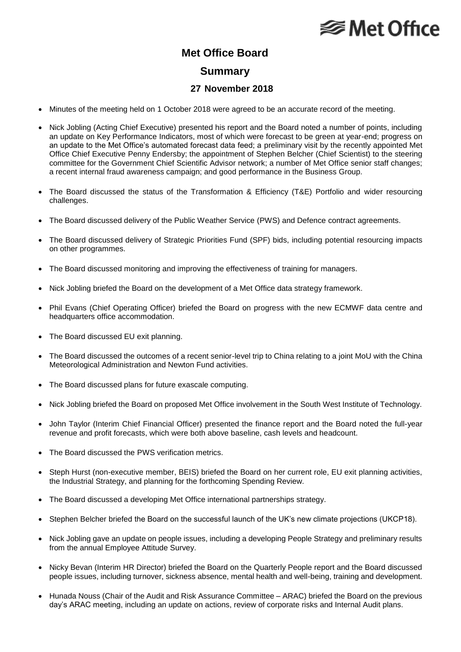## **⊗Met Office**

### **Met Office Board**

#### **Summary**

#### **27 November 2018**

- Minutes of the meeting held on 1 October 2018 were agreed to be an accurate record of the meeting.
- Nick Jobling (Acting Chief Executive) presented his report and the Board noted a number of points, including an update on Key Performance Indicators, most of which were forecast to be green at year-end; progress on an update to the Met Office's automated forecast data feed; a preliminary visit by the recently appointed Met Office Chief Executive Penny Endersby; the appointment of Stephen Belcher (Chief Scientist) to the steering committee for the Government Chief Scientific Advisor network; a number of Met Office senior staff changes; a recent internal fraud awareness campaign; and good performance in the Business Group.
- The Board discussed the status of the Transformation & Efficiency (T&E) Portfolio and wider resourcing challenges.
- The Board discussed delivery of the Public Weather Service (PWS) and Defence contract agreements.
- The Board discussed delivery of Strategic Priorities Fund (SPF) bids, including potential resourcing impacts on other programmes.
- The Board discussed monitoring and improving the effectiveness of training for managers.
- Nick Jobling briefed the Board on the development of a Met Office data strategy framework.
- Phil Evans (Chief Operating Officer) briefed the Board on progress with the new ECMWF data centre and headquarters office accommodation.
- The Board discussed EU exit planning.
- The Board discussed the outcomes of a recent senior-level trip to China relating to a joint MoU with the China Meteorological Administration and Newton Fund activities.
- The Board discussed plans for future exascale computing.
- Nick Jobling briefed the Board on proposed Met Office involvement in the South West Institute of Technology.
- John Taylor (Interim Chief Financial Officer) presented the finance report and the Board noted the full-year revenue and profit forecasts, which were both above baseline, cash levels and headcount.
- The Board discussed the PWS verification metrics.
- Steph Hurst (non-executive member, BEIS) briefed the Board on her current role, EU exit planning activities, the Industrial Strategy, and planning for the forthcoming Spending Review.
- The Board discussed a developing Met Office international partnerships strategy.
- Stephen Belcher briefed the Board on the successful launch of the UK's new climate projections (UKCP18).
- Nick Jobling gave an update on people issues, including a developing People Strategy and preliminary results from the annual Employee Attitude Survey.
- Nicky Bevan (Interim HR Director) briefed the Board on the Quarterly People report and the Board discussed people issues, including turnover, sickness absence, mental health and well-being, training and development.
- Hunada Nouss (Chair of the Audit and Risk Assurance Committee ARAC) briefed the Board on the previous day's ARAC meeting, including an update on actions, review of corporate risks and Internal Audit plans.